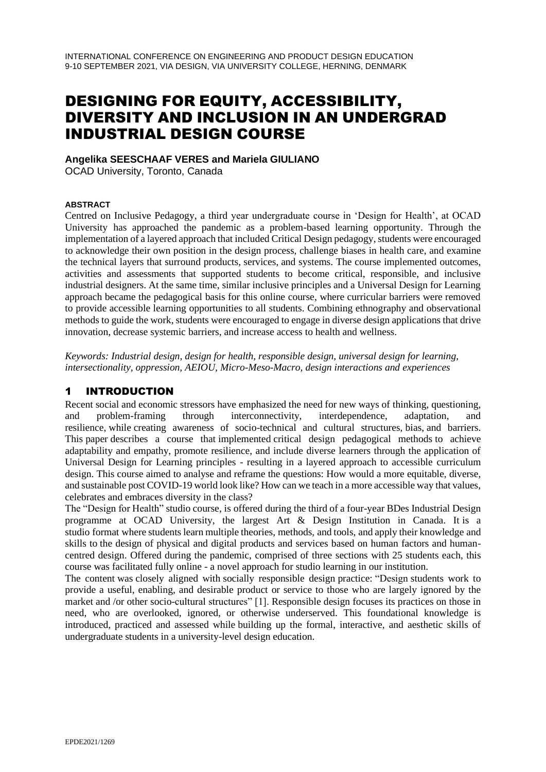# DESIGNING FOR EQUITY, ACCESSIBILITY, DIVERSITY AND INCLUSION IN AN UNDERGRAD INDUSTRIAL DESIGN COURSE

**Angelika SEESCHAAF VERES and Mariela GIULIANO**  OCAD University, Toronto, Canada

#### **ABSTRACT**

Centred on Inclusive Pedagogy, a third year undergraduate course in 'Design for Health', at OCAD University has approached the pandemic as a problem-based learning opportunity. Through the implementation of a layered approach that included Critical Design pedagogy, students were encouraged to acknowledge their own position in the design process, challenge biases in health care, and examine the technical layers that surround products, services, and systems. The course implemented outcomes, activities and assessments that supported students to become critical, responsible, and inclusive industrial designers. At the same time, similar inclusive principles and a Universal Design for Learning approach became the pedagogical basis for this online course, where curricular barriers were removed to provide accessible learning opportunities to all students. Combining ethnography and observational methods to guide the work, students were encouraged to engage in diverse design applications that drive innovation, decrease systemic barriers, and increase access to health and wellness.

*Keywords: Industrial design, design for health, responsible design, universal design for learning, intersectionality, oppression, AEIOU, Micro-Meso-Macro, design interactions and experiences*

#### 1 INTRODUCTION

Recent social and economic stressors have emphasized the need for new ways of thinking, questioning, and problem-framing through interconnectivity, interdependence, adaptation, and resilience, while creating awareness of socio-technical and cultural structures, bias, and barriers. This paper describes a course that implemented critical design pedagogical methods to achieve adaptability and empathy, promote resilience, and include diverse learners through the application of Universal Design for Learning principles - resulting in a layered approach to accessible curriculum design. This course aimed to analyse and reframe the questions: How would a more equitable, diverse, and sustainable post COVID-19 world look like? How can we teach in a more accessible way that values, celebrates and embraces diversity in the class?

The "Design for Health" studio course, is offered during the third of a four-year BDes Industrial Design programme at OCAD University, the largest Art & Design Institution in Canada. It is a studio format where students learn multiple theories, methods, and tools, and apply their knowledge and skills to the design of physical and digital products and services based on human factors and humancentred design. Offered during the pandemic, comprised of three sections with 25 students each, this course was facilitated fully online - a novel approach for studio learning in our institution.

The content was closely aligned with socially responsible design practice: "Design students work to provide a useful, enabling, and desirable product or service to those who are largely ignored by the market and /or other socio-cultural structures" [1]. Responsible design focuses its practices on those in need, who are overlooked, ignored, or otherwise underserved. This foundational knowledge is introduced, practiced and assessed while building up the formal, interactive, and aesthetic skills of undergraduate students in a university-level design education.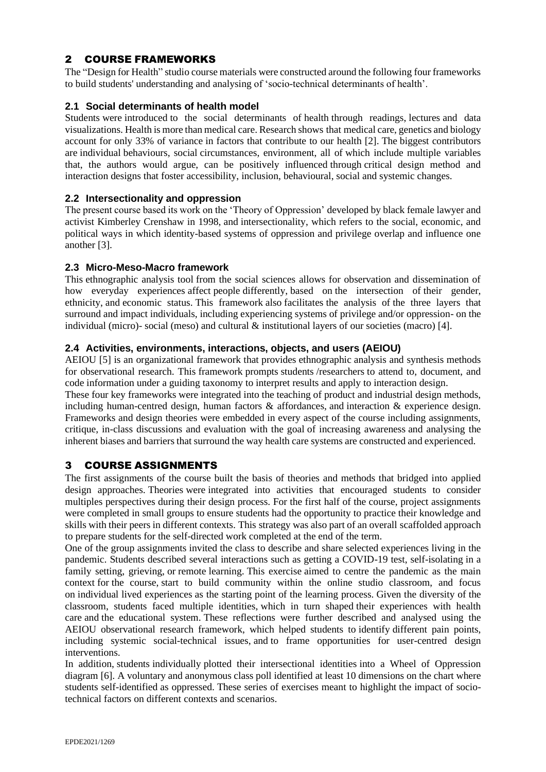## 2 COURSE FRAMEWORKS

The "Design for Health" studio course materials were constructed around the following four frameworks to build students' understanding and analysing of 'socio-technical determinants of health'.

#### **2.1 Social determinants of health model**

Students were introduced to the social determinants of health through readings, lectures and data visualizations. Health is more than medical care. Research shows that medical care, genetics and biology account for only 33% of variance in factors that contribute to our health [2]. The biggest contributors are individual behaviours, social circumstances, environment, all of which include multiple variables that, the authors would argue, can be positively influenced through critical design method and interaction designs that foster accessibility, inclusion, behavioural, social and systemic changes.

#### **2.2 Intersectionality and oppression**

The present course based its work on the 'Theory of Oppression' developed by black female lawyer and activist Kimberley Crenshaw in 1998, and intersectionality, which refers to the social, economic, and political ways in which identity-based systems of oppression and privilege overlap and influence one another [3].

#### **2.3 Micro-Meso-Macro framework**

This ethnographic analysis tool from the social sciences allows for observation and dissemination of how everyday experiences affect people differently, based on the intersection of their gender, ethnicity, and economic status. This framework also facilitates the analysis of the three layers that surround and impact individuals, including experiencing systems of privilege and/or oppression- on the individual (micro)- social (meso) and cultural & institutional layers of our societies (macro) [4].

#### **2.4 Activities, environments, interactions, objects, and users (AEIOU)**

AEIOU [5] is an organizational framework that provides ethnographic analysis and synthesis methods for observational research. This framework prompts students /researchers to attend to, document, and code information under a guiding taxonomy to interpret results and apply to interaction design.

These four key frameworks were integrated into the teaching of product and industrial design methods, including human-centred design, human factors & affordances, and interaction & experience design. Frameworks and design theories were embedded in every aspect of the course including assignments, critique, in-class discussions and evaluation with the goal of increasing awareness and analysing the inherent biases and barriers that surround the way health care systems are constructed and experienced.

## 3 COURSE ASSIGNMENTS

The first assignments of the course built the basis of theories and methods that bridged into applied design approaches. Theories were integrated into activities that encouraged students to consider multiples perspectives during their design process. For the first half of the course, project assignments were completed in small groups to ensure students had the opportunity to practice their knowledge and skills with their peers in different contexts. This strategy was also part of an overall scaffolded approach to prepare students for the self-directed work completed at the end of the term.

One of the group assignments invited the class to describe and share selected experiences living in the pandemic. Students described several interactions such as getting a COVID-19 test, self-isolating in a family setting, grieving, or remote learning. This exercise aimed to centre the pandemic as the main context for the course, start to build community within the online studio classroom, and focus on individual lived experiences as the starting point of the learning process. Given the diversity of the classroom, students faced multiple identities, which in turn shaped their experiences with health care and the educational system. These reflections were further described and analysed using the AEIOU observational research framework, which helped students to identify different pain points, including systemic social-technical issues, and to frame opportunities for user-centred design interventions.

In addition, students individually plotted their intersectional identities into a Wheel of Oppression diagram [6]. A voluntary and anonymous class poll identified at least 10 dimensions on the chart where students self-identified as oppressed. These series of exercises meant to highlight the impact of sociotechnical factors on different contexts and scenarios.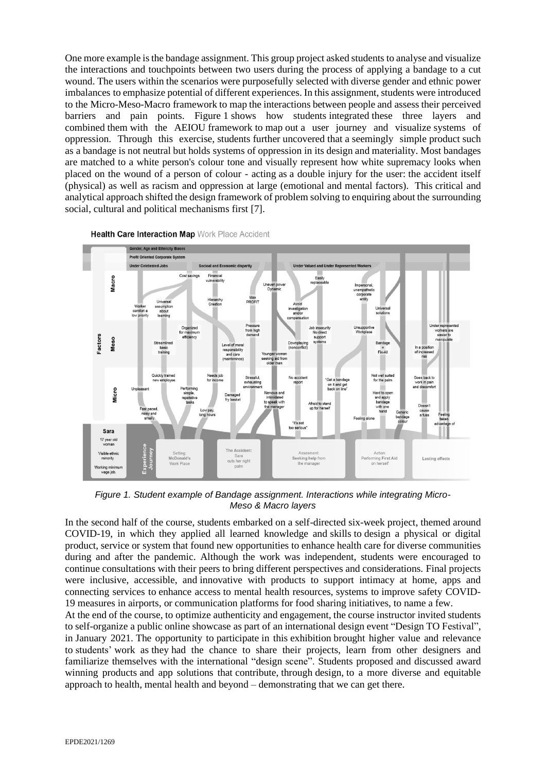One more example is the bandage assignment. This group project asked students to analyse and visualize the interactions and touchpoints between two users during the process of applying a bandage to a cut wound. The users within the scenarios were purposefully selected with diverse gender and ethnic power imbalances to emphasize potential of different experiences. In this assignment, students were introduced to the Micro-Meso-Macro framework to map the interactions between people and assess their perceived barriers and pain points. Figure 1 shows how students integrated these three layers and combined them with the AEIOU framework to map out a user journey and visualize systems of oppression. Through this exercise, students further uncovered that a seemingly simple product such as a bandage is not neutral but holds systems of oppression in its design and materiality. Most bandages are matched to a white person's colour tone and visually represent how white supremacy looks when placed on the wound of a person of colour - acting as a double injury for the user: the accident itself (physical) as well as racism and oppression at large (emotional and mental factors). This critical and analytical approach shifted the design framework of problem solving to enquiring about the surrounding social, cultural and political mechanisms first [7].



Health Care Interaction Map Work Place Accident

*Figure 1. Student example of Bandage assignment. Interactions while integrating Micro-Meso & Macro layers*

In the second half of the course, students embarked on a self-directed six-week project, themed around COVID-19, in which they applied all learned knowledge and skills to design a physical or digital product, service or system that found new opportunities to enhance health care for diverse communities during and after the pandemic. Although the work was independent, students were encouraged to continue consultations with their peers to bring different perspectives and considerations. Final projects were inclusive, accessible, and innovative with products to support intimacy at home, apps and connecting services to enhance access to mental health resources, systems to improve safety COVID-19 measures in airports, or communication platforms for food sharing initiatives, to name a few.

At the end of the course, to optimize authenticity and engagement, the course instructor invited students to self-organize a public online showcase as part of an international design event "Design TO Festival", in January 2021. The opportunity to participate in this exhibition brought higher value and relevance to students' work as they had the chance to share their projects, learn from other designers and familiarize themselves with the international "design scene". Students proposed and discussed award winning products and app solutions that contribute, through design, to a more diverse and equitable approach to health, mental health and beyond – demonstrating that we can get there.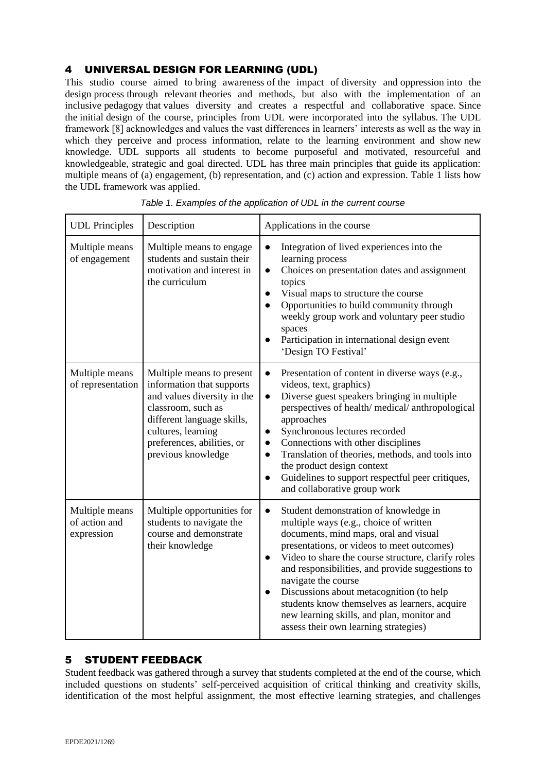## 4 UNIVERSAL DESIGN FOR LEARNING (UDL)

This studio course aimed to bring awareness of the impact of diversity and oppression into the design process through relevant theories and methods, but also with the implementation of an inclusive pedagogy that values diversity and creates a respectful and collaborative space. Since the initial design of the course, principles from UDL were incorporated into the syllabus. The UDL framework [8] acknowledges and values the vast differences in learners' interests as well as the way in which they perceive and process information, relate to the learning environment and show new knowledge. UDL supports all students to become purposeful and motivated, resourceful and knowledgeable, strategic and goal directed. UDL has three main principles that guide its application: multiple means of (a) engagement, (b) representation, and (c) action and expression. Table 1 lists how the UDL framework was applied.

| <b>UDL</b> Principles                         | Description                                                                                                                                                                                                         | Applications in the course                                                                                                                                                                                                                                                                                                                                                                                                                                                                                                         |  |  |
|-----------------------------------------------|---------------------------------------------------------------------------------------------------------------------------------------------------------------------------------------------------------------------|------------------------------------------------------------------------------------------------------------------------------------------------------------------------------------------------------------------------------------------------------------------------------------------------------------------------------------------------------------------------------------------------------------------------------------------------------------------------------------------------------------------------------------|--|--|
| Multiple means<br>of engagement               | Multiple means to engage<br>students and sustain their<br>motivation and interest in<br>the curriculum                                                                                                              | Integration of lived experiences into the<br>$\bullet$<br>learning process<br>Choices on presentation dates and assignment<br>$\bullet$<br>topics<br>Visual maps to structure the course<br>$\bullet$<br>Opportunities to build community through<br>$\bullet$<br>weekly group work and voluntary peer studio<br>spaces<br>Participation in international design event<br>'Design TO Festival'                                                                                                                                     |  |  |
| Multiple means<br>of representation           | Multiple means to present<br>information that supports<br>and values diversity in the<br>classroom, such as<br>different language skills,<br>cultures, learning<br>preferences, abilities, or<br>previous knowledge | Presentation of content in diverse ways (e.g.,<br>$\bullet$<br>videos, text, graphics)<br>Diverse guest speakers bringing in multiple<br>$\bullet$<br>perspectives of health/medical/anthropological<br>approaches<br>Synchronous lectures recorded<br>$\bullet$<br>Connections with other disciplines<br>$\bullet$<br>Translation of theories, methods, and tools into<br>$\bullet$<br>the product design context<br>Guidelines to support respectful peer critiques,<br>$\bullet$<br>and collaborative group work                |  |  |
| Multiple means<br>of action and<br>expression | Multiple opportunities for<br>students to navigate the<br>course and demonstrate<br>their knowledge                                                                                                                 | Student demonstration of knowledge in<br>$\bullet$<br>multiple ways (e.g., choice of written<br>documents, mind maps, oral and visual<br>presentations, or videos to meet outcomes)<br>Video to share the course structure, clarify roles<br>$\bullet$<br>and responsibilities, and provide suggestions to<br>navigate the course<br>Discussions about metacognition (to help<br>$\bullet$<br>students know themselves as learners, acquire<br>new learning skills, and plan, monitor and<br>assess their own learning strategies) |  |  |

| Table 1. Examples of the application of UDL in the current course |  |  |  |
|-------------------------------------------------------------------|--|--|--|
|                                                                   |  |  |  |

## 5 STUDENT FEEDBACK

Student feedback was gathered through a survey that students completed at the end of the course, which included questions on students' self-perceived acquisition of critical thinking and creativity skills, identification of the most helpful assignment, the most effective learning strategies, and challenges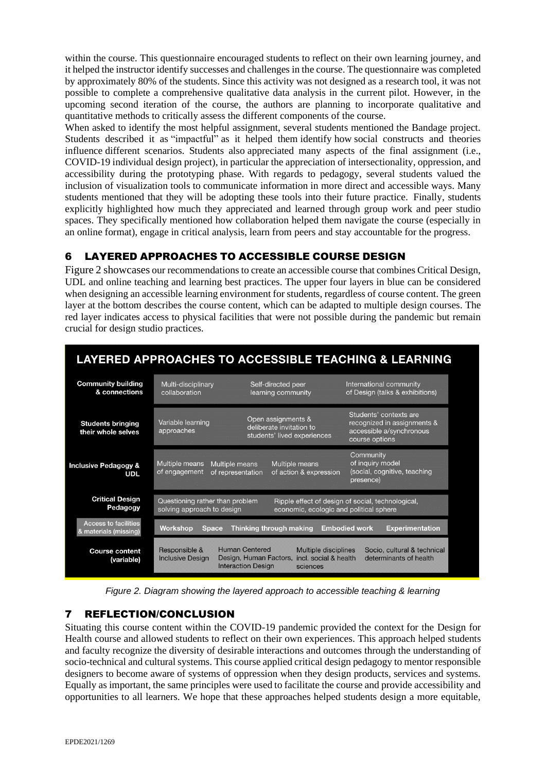within the course. This questionnaire encouraged students to reflect on their own learning journey, and it helped the instructor identify successes and challenges in the course. The questionnaire was completed by approximately 80% of the students. Since this activity was not designed as a research tool, it was not possible to complete a comprehensive qualitative data analysis in the current pilot. However, in the upcoming second iteration of the course, the authors are planning to incorporate qualitative and quantitative methods to critically assess the different components of the course.

When asked to identify the most helpful assignment, several students mentioned the Bandage project. Students described it as "impactful" as it helped them identify how social constructs and theories influence different scenarios. Students also appreciated many aspects of the final assignment (i.e., COVID-19 individual design project), in particular the appreciation of intersectionality, oppression, and accessibility during the prototyping phase. With regards to pedagogy, several students valued the inclusion of visualization tools to communicate information in more direct and accessible ways. Many students mentioned that they will be adopting these tools into their future practice. Finally, students explicitly highlighted how much they appreciated and learned through group work and peer studio spaces. They specifically mentioned how collaboration helped them navigate the course (especially in an online format), engage in critical analysis, learn from peers and stay accountable for the progress.

# 6 LAYERED APPROACHES TO ACCESSIBLE COURSE DESIGN

Figure 2 showcases our recommendations to create an accessible course that combines Critical Design, UDL and online teaching and learning best practices. The upper four layers in blue can be considered when designing an accessible learning environment for students, regardless of course content. The green layer at the bottom describes the course content, which can be adapted to multiple design courses. The red layer indicates access to physical facilities that were not possible during the pandemic but remain crucial for design studio practices.



*Figure 2. Diagram showing the layered approach to accessible teaching & learning*

# 7 REFLECTION/CONCLUSION

Situating this course content within the COVID-19 pandemic provided the context for the Design for Health course and allowed students to reflect on their own experiences. This approach helped students and faculty recognize the diversity of desirable interactions and outcomes through the understanding of socio-technical and cultural systems. This course applied critical design pedagogy to mentor responsible designers to become aware of systems of oppression when they design products, services and systems. Equally as important, the same principles were used to facilitate the course and provide accessibility and opportunities to all learners. We hope that these approaches helped students design a more equitable,